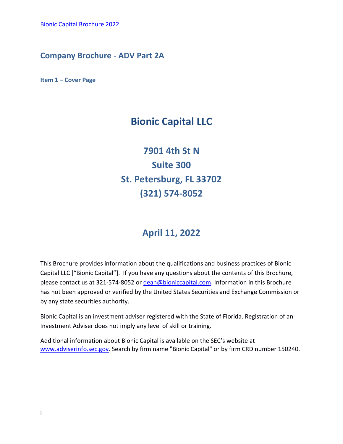# **Company Brochure - ADV Part 2A**

**Item 1 – Cover Page**

# **Bionic Capital LLC**

**7901 4th St N Suite 300 St. Petersburg, FL 33702 (321) 574-8052**

# **April 11, 2022**

This Brochure provides information about the qualifications and business practices of Bionic Capital LLC ["Bionic Capital"]. If you have any questions about the contents of this Brochure, please contact us at 321-574-8052 o[r dean@bioniccapital.com.](mailto:%20dean@bioniccapital.com) Information in this Brochure has not been approved or verified by the United States Securities and Exchange Commission or by any state securities authority.

Bionic Capital is an investment adviser registered with the State of Florida. Registration of an Investment Adviser does not imply any level of skill or training.

Additional information about Bionic Capital is available on the SEC's website at [www.adviserinfo.sec.gov.](https://www.adviserinfo.sec.gov/) Search by firm name "Bionic Capital" or by firm CRD number 150240.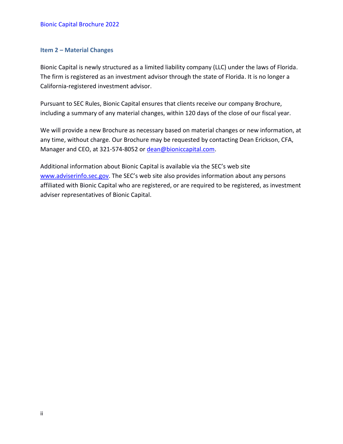## <span id="page-1-0"></span>**Item 2 – Material Changes**

Bionic Capital is newly structured as a limited liability company (LLC) under the laws of Florida. The firm is registered as an investment advisor through the state of Florida. It is no longer a California-registered investment advisor.

Pursuant to SEC Rules, Bionic Capital ensures that clients receive our company Brochure, including a summary of any material changes, within 120 days of the close of our fiscal year.

We will provide a new Brochure as necessary based on material changes or new information, at any time, without charge. Our Brochure may be requested by contacting Dean Erickson, CFA, Manager and CEO, at 321-574-8052 or [dean@bioniccapital.com.](mailto:dean@bioniccapital.com?subject=Brochure)

Additional information about Bionic Capital is available via the SEC's web site [www.adviserinfo.sec.gov](https://www.adviserinfo.sec.gov/). The SEC's web site also provides information about any persons affiliated with Bionic Capital who are registered, or are required to be registered, as investment adviser representatives of Bionic Capital.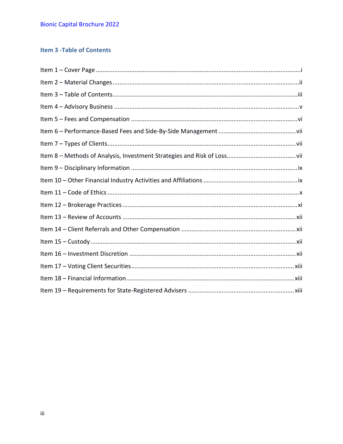# <span id="page-2-0"></span>**Item 3 - Table of Contents**

<span id="page-2-1"></span>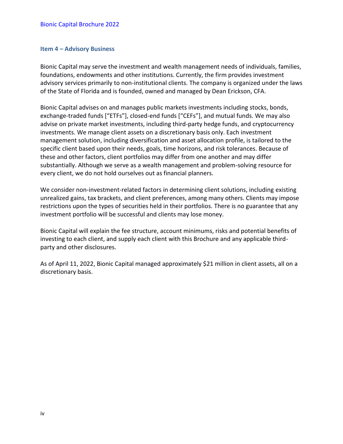#### **Item 4 – Advisory Business**

Bionic Capital may serve the investment and wealth management needs of individuals, families, foundations, endowments and other institutions. Currently, the firm provides investment advisory services primarily to non-institutional clients. The company is organized under the laws of the State of Florida and is founded, owned and managed by Dean Erickson, CFA.

Bionic Capital advises on and manages public markets investments including stocks, bonds, exchange-traded funds ["ETFs"], closed-end funds ["CEFs"], and mutual funds. We may also advise on private market investments, including third-party hedge funds, and cryptocurrency investments. We manage client assets on a discretionary basis only. Each investment management solution, including diversification and asset allocation profile, is tailored to the specific client based upon their needs, goals, time horizons, and risk tolerances. Because of these and other factors, client portfolios may differ from one another and may differ substantially. Although we serve as a wealth management and problem-solving resource for every client, we do not hold ourselves out as financial planners.

We consider non-investment-related factors in determining client solutions, including existing unrealized gains, tax brackets, and client preferences, among many others. Clients may impose restrictions upon the types of securities held in their portfolios. There is no guarantee that any investment portfolio will be successful and clients may lose money.

Bionic Capital will explain the fee structure, account minimums, risks and potential benefits of investing to each client, and supply each client with this Brochure and any applicable thirdparty and other disclosures.

As of April 11, 2022, Bionic Capital managed approximately \$21 million in client assets, all on a discretionary basis.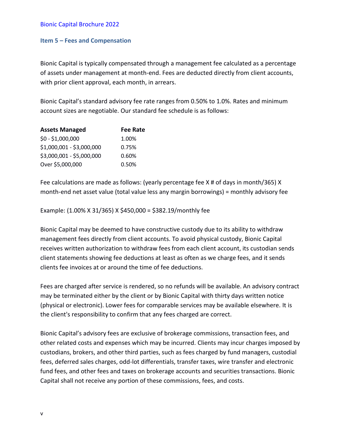### <span id="page-4-0"></span>**Item 5 – Fees and Compensation**

Bionic Capital is typically compensated through a management fee calculated as a percentage of assets under management at month-end. Fees are deducted directly from client accounts, with prior client approval, each month, in arrears.

Bionic Capital's standard advisory fee rate ranges from 0.50% to 1.0%. Rates and minimum account sizes are negotiable. Our standard fee schedule is as follows:

| <b>Assets Managed</b>     | <b>Fee Rate</b> |
|---------------------------|-----------------|
| $$0 - $1,000,000$         | 1.00%           |
| \$1,000,001 - \$3,000,000 | 0.75%           |
| \$3,000,001 - \$5,000,000 | 0.60%           |
| Over \$5,000,000          | 0.50%           |

Fee calculations are made as follows: (yearly percentage fee X # of days in month/365) X month-end net asset value (total value less any margin borrowings) = monthly advisory fee

Example: (1.00% X 31/365) X \$450,000 = \$382.19/monthly fee

Bionic Capital may be deemed to have constructive custody due to its ability to withdraw management fees directly from client accounts. To avoid physical custody, Bionic Capital receives written authorization to withdraw fees from each client account, its custodian sends client statements showing fee deductions at least as often as we charge fees, and it sends clients fee invoices at or around the time of fee deductions.

Fees are charged after service is rendered, so no refunds will be available. An advisory contract may be terminated either by the client or by Bionic Capital with thirty days written notice (physical or electronic). Lower fees for comparable services may be available elsewhere. It is the client's responsibility to confirm that any fees charged are correct.

Bionic Capital's advisory fees are exclusive of brokerage commissions, transaction fees, and other related costs and expenses which may be incurred. Clients may incur charges imposed by custodians, brokers, and other third parties, such as fees charged by fund managers, custodial fees, deferred sales charges, odd-lot differentials, transfer taxes, wire transfer and electronic fund fees, and other fees and taxes on brokerage accounts and securities transactions. Bionic Capital shall not receive any portion of these commissions, fees, and costs.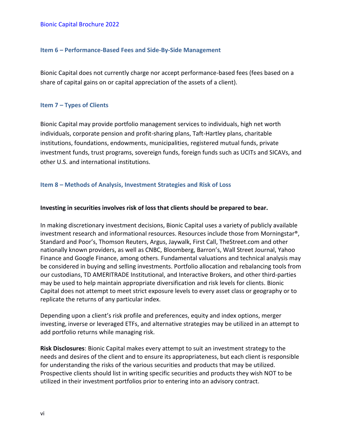## <span id="page-5-0"></span>**Item 6 – Performance-Based Fees and Side-By-Side Management**

Bionic Capital does not currently charge nor accept performance-based fees (fees based on a share of capital gains on or capital appreciation of the assets of a client).

## <span id="page-5-1"></span>**Item 7 – Types of Clients**

Bionic Capital may provide portfolio management services to individuals, high net worth individuals, corporate pension and profit-sharing plans, Taft-Hartley plans, charitable institutions, foundations, endowments, municipalities, registered mutual funds, private investment funds, trust programs, sovereign funds, foreign funds such as UCITs and SICAVs, and other U.S. and international institutions.

# <span id="page-5-2"></span>**Item 8 – Methods of Analysis, Investment Strategies and Risk of Loss**

## **Investing in securities involves risk of loss that clients should be prepared to bear.**

In making discretionary investment decisions, Bionic Capital uses a variety of publicly available investment research and informational resources. Resources include those from Morningstar®, Standard and Poor's, Thomson Reuters, Argus, Jaywalk, First Call, TheStreet.com and other nationally known providers, as well as CNBC, Bloomberg, Barron's, Wall Street Journal, Yahoo Finance and Google Finance, among others. Fundamental valuations and technical analysis may be considered in buying and selling investments. Portfolio allocation and rebalancing tools from our custodians, TD AMERITRADE Institutional, and Interactive Brokers, and other third-parties may be used to help maintain appropriate diversification and risk levels for clients. Bionic Capital does not attempt to meet strict exposure levels to every asset class or geography or to replicate the returns of any particular index.

Depending upon a client's risk profile and preferences, equity and index options, merger investing, inverse or leveraged ETFs, and alternative strategies may be utilized in an attempt to add portfolio returns while managing risk.

**Risk Disclosures**: Bionic Capital makes every attempt to suit an investment strategy to the needs and desires of the client and to ensure its appropriateness, but each client is responsible for understanding the risks of the various securities and products that may be utilized. Prospective clients should list in writing specific securities and products they wish NOT to be utilized in their investment portfolios prior to entering into an advisory contract.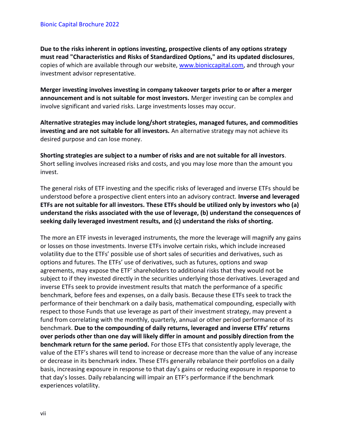**Due to the risks inherent in options investing, prospective clients of any options strategy must read "Characteristics and Risks of Standardized Options," and its updated disclosures**, copies of which are available through our website, [www.bioniccapital.com,](https://www.bioniccapital.com/legal-disclosures/) and through your investment advisor representative.

**Merger investing involves investing in company takeover targets prior to or after a merger announcement and is not suitable for most investors.** Merger investing can be complex and involve significant and varied risks. Large investments losses may occur.

**Alternative strategies may include long/short strategies, managed futures, and commodities investing and are not suitable for all investors.** An alternative strategy may not achieve its desired purpose and can lose money.

**Shorting strategies are subject to a number of risks and are not suitable for all investors**. Short selling involves increased risks and costs, and you may lose more than the amount you invest.

The general risks of ETF investing and the specific risks of leveraged and inverse ETFs should be understood before a prospective client enters into an advisory contract. **Inverse and leveraged ETFs are not suitable for all investors. These ETFs should be utilized only by investors who (a) understand the risks associated with the use of leverage, (b) understand the consequences of seeking daily leveraged investment results, and (c) understand the risks of shorting.**

The more an ETF invests in leveraged instruments, the more the leverage will magnify any gains or losses on those investments. Inverse ETFs involve certain risks, which include increased volatility due to the ETFs' possible use of short sales of securities and derivatives, such as options and futures. The ETFs' use of derivatives, such as futures, options and swap agreements, may expose the ETF' shareholders to additional risks that they would not be subject to if they invested directly in the securities underlying those derivatives. Leveraged and inverse ETFs seek to provide investment results that match the performance of a specific benchmark, before fees and expenses, on a daily basis. Because these ETFs seek to track the performance of their benchmark on a daily basis, mathematical compounding, especially with respect to those Funds that use leverage as part of their investment strategy, may prevent a fund from correlating with the monthly, quarterly, annual or other period performance of its benchmark. **Due to the compounding of daily returns, leveraged and inverse ETFs' returns over periods other than one day will likely differ in amount and possibly direction from the benchmark return for the same period.** For those ETFs that consistently apply leverage, the value of the ETF's shares will tend to increase or decrease more than the value of any increase or decrease in its benchmark index. These ETFs generally rebalance their portfolios on a daily basis, increasing exposure in response to that day's gains or reducing exposure in response to that day's losses. Daily rebalancing will impair an ETF's performance if the benchmark experiences volatility.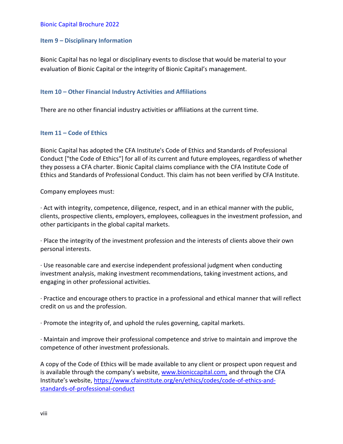#### <span id="page-7-0"></span>**Item 9 – Disciplinary Information**

Bionic Capital has no legal or disciplinary events to disclose that would be material to your evaluation of Bionic Capital or the integrity of Bionic Capital's management.

#### <span id="page-7-1"></span>**Item 10 – Other Financial Industry Activities and Affiliations**

There are no other financial industry activities or affiliations at the current time.

#### <span id="page-7-2"></span>**Item 11 – Code of Ethics**

Bionic Capital has adopted the CFA Institute's Code of Ethics and Standards of Professional Conduct ["the Code of Ethics"] for all of its current and future employees, regardless of whether they possess a CFA charter. Bionic Capital claims compliance with the CFA Institute Code of Ethics and Standards of Professional Conduct. This claim has not been verified by CFA Institute.

Company employees must:

· Act with integrity, competence, diligence, respect, and in an ethical manner with the public, clients, prospective clients, employers, employees, colleagues in the investment profession, and other participants in the global capital markets.

· Place the integrity of the investment profession and the interests of clients above their own personal interests.

· Use reasonable care and exercise independent professional judgment when conducting investment analysis, making investment recommendations, taking investment actions, and engaging in other professional activities.

· Practice and encourage others to practice in a professional and ethical manner that will reflect credit on us and the profession.

· Promote the integrity of, and uphold the rules governing, capital markets.

· Maintain and improve their professional competence and strive to maintain and improve the competence of other investment professionals.

A copy of the Code of Ethics will be made available to any client or prospect upon request and is available through the company's website, [www.bioniccapital.com,](https://www.bioniccapital.com/legal-disclosures/) and through the CFA Institute's website, [https://www.cfainstitute.org/en/ethics/codes/code-of-ethics-and](https://www.cfainstitute.org/en/ethics/codes/code-of-ethics-and-standards-of-professional-conduct)[standards-of-professional-conduct](https://www.cfainstitute.org/en/ethics/codes/code-of-ethics-and-standards-of-professional-conduct)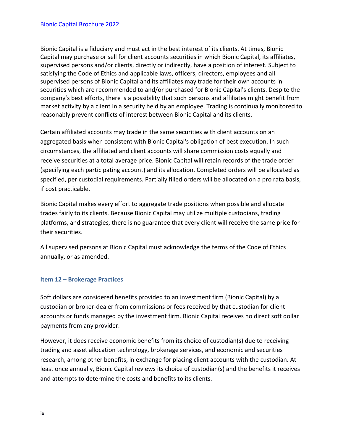Bionic Capital is a fiduciary and must act in the best interest of its clients. At times, Bionic Capital may purchase or sell for client accounts securities in which Bionic Capital, its affiliates, supervised persons and/or clients, directly or indirectly, have a position of interest. Subject to satisfying the Code of Ethics and applicable laws, officers, directors, employees and all supervised persons of Bionic Capital and its affiliates may trade for their own accounts in securities which are recommended to and/or purchased for Bionic Capital's clients. Despite the company's best efforts, there is a possibility that such persons and affiliates might benefit from market activity by a client in a security held by an employee. Trading is continually monitored to reasonably prevent conflicts of interest between Bionic Capital and its clients.

Certain affiliated accounts may trade in the same securities with client accounts on an aggregated basis when consistent with Bionic Capital's obligation of best execution. In such circumstances, the affiliated and client accounts will share commission costs equally and receive securities at a total average price. Bionic Capital will retain records of the trade order (specifying each participating account) and its allocation. Completed orders will be allocated as specified, per custodial requirements. Partially filled orders will be allocated on a pro rata basis, if cost practicable.

Bionic Capital makes every effort to aggregate trade positions when possible and allocate trades fairly to its clients. Because Bionic Capital may utilize multiple custodians, trading platforms, and strategies, there is no guarantee that every client will receive the same price for their securities.

All supervised persons at Bionic Capital must acknowledge the terms of the Code of Ethics annually, or as amended.

# <span id="page-8-0"></span>**Item 12 – Brokerage Practices**

Soft dollars are considered benefits provided to an investment firm (Bionic Capital) by a custodian or broker-dealer from commissions or fees received by that custodian for client accounts or funds managed by the investment firm. Bionic Capital receives no direct soft dollar payments from any provider.

However, it does receive economic benefits from its choice of custodian(s) due to receiving trading and asset allocation technology, brokerage services, and economic and securities research, among other benefits, in exchange for placing client accounts with the custodian. At least once annually, Bionic Capital reviews its choice of custodian(s) and the benefits it receives and attempts to determine the costs and benefits to its clients.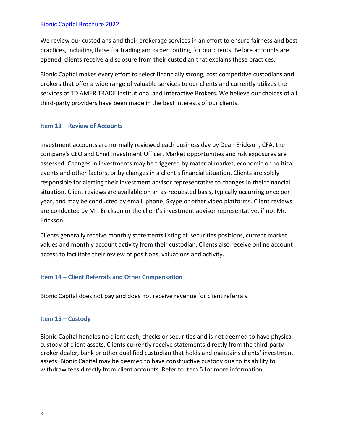We review our custodians and their brokerage services in an effort to ensure fairness and best practices, including those for trading and order routing, for our clients. Before accounts are opened, clients receive a disclosure from their custodian that explains these practices.

Bionic Capital makes every effort to select financially strong, cost competitive custodians and brokers that offer a wide range of valuable services to our clients and currently utilizes the services of TD AMERITRADE Institutional and Interactive Brokers. We believe our choices of all third-party providers have been made in the best interests of our clients.

#### <span id="page-9-0"></span>**Item 13 – Review of Accounts**

Investment accounts are normally reviewed each business day by Dean Erickson, CFA, the company's CEO and Chief Investment Officer. Market opportunities and risk exposures are assessed. Changes in investments may be triggered by material market, economic or political events and other factors, or by changes in a client's financial situation. Clients are solely responsible for alerting their investment advisor representative to changes in their financial situation. Client reviews are available on an as-requested basis, typically occurring once per year, and may be conducted by email, phone, Skype or other video platforms. Client reviews are conducted by Mr. Erickson or the client's investment advisor representative, if not Mr. Erickson.

Clients generally receive monthly statements listing all securities positions, current market values and monthly account activity from their custodian. Clients also receive online account access to facilitate their review of positions, valuations and activity.

# <span id="page-9-1"></span>**Item 14 – Client Referrals and Other Compensation**

Bionic Capital does not pay and does not receive revenue for client referrals.

## <span id="page-9-2"></span>**Item 15 – Custody**

Bionic Capital handles no client cash, checks or securities and is not deemed to have physical custody of client assets. Clients currently receive statements directly from the third-party broker dealer, bank or other qualified custodian that holds and maintains clients' investment assets. Bionic Capital may be deemed to have constructive custody due to its ability to withdraw fees directly from client accounts. Refer to Item 5 for more information.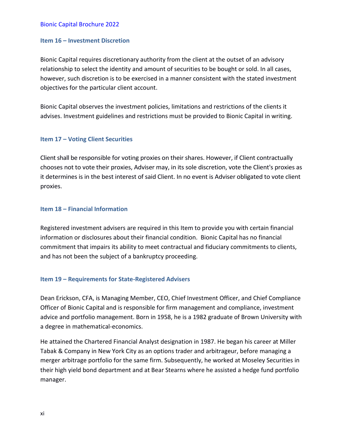#### <span id="page-10-0"></span>**Item 16 – Investment Discretion**

Bionic Capital requires discretionary authority from the client at the outset of an advisory relationship to select the identity and amount of securities to be bought or sold. In all cases, however, such discretion is to be exercised in a manner consistent with the stated investment objectives for the particular client account.

<span id="page-10-1"></span>Bionic Capital observes the investment policies, limitations and restrictions of the clients it advises. Investment guidelines and restrictions must be provided to Bionic Capital in writing.

#### **Item 17 – Voting Client Securities**

Client shall be responsible for voting proxies on their shares. However, if Client contractually chooses not to vote their proxies, Adviser may, in its sole discretion, vote the Client's proxies as it determines is in the best interest of said Client. In no event is Adviser obligated to vote client proxies.

#### <span id="page-10-2"></span>**Item 18 – Financial Information**

Registered investment advisers are required in this Item to provide you with certain financial information or disclosures about their financial condition. Bionic Capital has no financial commitment that impairs its ability to meet contractual and fiduciary commitments to clients, and has not been the subject of a bankruptcy proceeding.

#### <span id="page-10-3"></span>**Item 19 – Requirements for State-Registered Advisers**

Dean Erickson, CFA, is Managing Member, CEO, Chief Investment Officer, and Chief Compliance Officer of Bionic Capital and is responsible for firm management and compliance, investment advice and portfolio management. Born in 1958, he is a 1982 graduate of Brown University with a degree in mathematical-economics.

He attained the Chartered Financial Analyst designation in 1987. He began his career at Miller Tabak & Company in New York City as an options trader and arbitrageur, before managing a merger arbitrage portfolio for the same firm. Subsequently, he worked at Moseley Securities in their high yield bond department and at Bear Stearns where he assisted a hedge fund portfolio manager.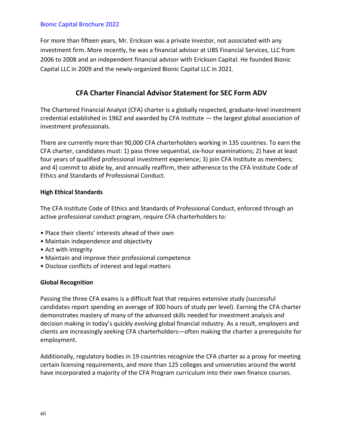For more than fifteen years, Mr. Erickson was a private investor, not associated with any investment firm. More recently, he was a financial advisor at UBS Financial Services, LLC from 2006 to 2008 and an independent financial advisor with Erickson Capital. He founded Bionic Capital LLC in 2009 and the newly-organized Bionic Capital LLC in 2021.

# **CFA Charter Financial Advisor Statement for SEC Form ADV**

The Chartered Financial Analyst (CFA) charter is a globally respected, graduate-level investment credential established in 1962 and awarded by CFA Institute — the largest global association of investment professionals.

There are currently more than 90,000 CFA charterholders working in 135 countries. To earn the CFA charter, candidates must: 1) pass three sequential, six-hour examinations; 2) have at least four years of qualified professional investment experience; 3) join CFA Institute as members; and 4) commit to abide by, and annually reaffirm, their adherence to the CFA Institute Code of Ethics and Standards of Professional Conduct.

# **High Ethical Standards**

The CFA Institute Code of Ethics and Standards of Professional Conduct, enforced through an active professional conduct program, require CFA charterholders to:

- Place their clients' interests ahead of their own
- Maintain independence and objectivity
- Act with integrity
- Maintain and improve their professional competence
- Disclose conflicts of interest and legal matters

# **Global Recognition**

Passing the three CFA exams is a difficult feat that requires extensive study (successful candidates report spending an average of 300 hours of study per level). Earning the CFA charter demonstrates mastery of many of the advanced skills needed for investment analysis and decision making in today's quickly evolving global financial industry. As a result, employers and clients are increasingly seeking CFA charterholders—often making the charter a prerequisite for employment.

Additionally, regulatory bodies in 19 countries recognize the CFA charter as a proxy for meeting certain licensing requirements, and more than 125 colleges and universities around the world have incorporated a majority of the CFA Program curriculum into their own finance courses.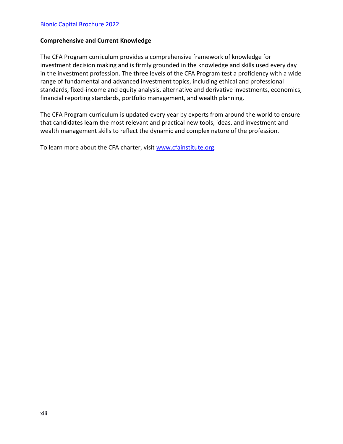## **Comprehensive and Current Knowledge**

The CFA Program curriculum provides a comprehensive framework of knowledge for investment decision making and is firmly grounded in the knowledge and skills used every day in the investment profession. The three levels of the CFA Program test a proficiency with a wide range of fundamental and advanced investment topics, including ethical and professional standards, fixed-income and equity analysis, alternative and derivative investments, economics, financial reporting standards, portfolio management, and wealth planning.

The CFA Program curriculum is updated every year by experts from around the world to ensure that candidates learn the most relevant and practical new tools, ideas, and investment and wealth management skills to reflect the dynamic and complex nature of the profession.

To learn more about the CFA charter, visit [www.cfainstitute.org.](https://www.cfainstitute.org/)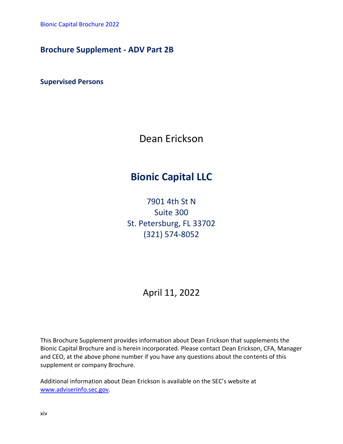# **Brochure Supplement - ADV Part 2B**

**Supervised Persons** 

Dean Erickson

# **Bionic Capital LLC**

7901 4th St N Suite 300 St. Petersburg, FL 33702 (321) 574-8052

April 11, 2022

This Brochure Supplement provides information about Dean Erickson that supplements the Bionic Capital Brochure and is herein incorporated. Please contact Dean Erickson, CFA, Manager and CEO, at the above phone number if you have any questions about the contents of this supplement or company Brochure.

Additional information about Dean Erickson is available on the SEC's website at [www.adviserinfo.sec.gov.](http://www.adviserinfo.sec.gov/)